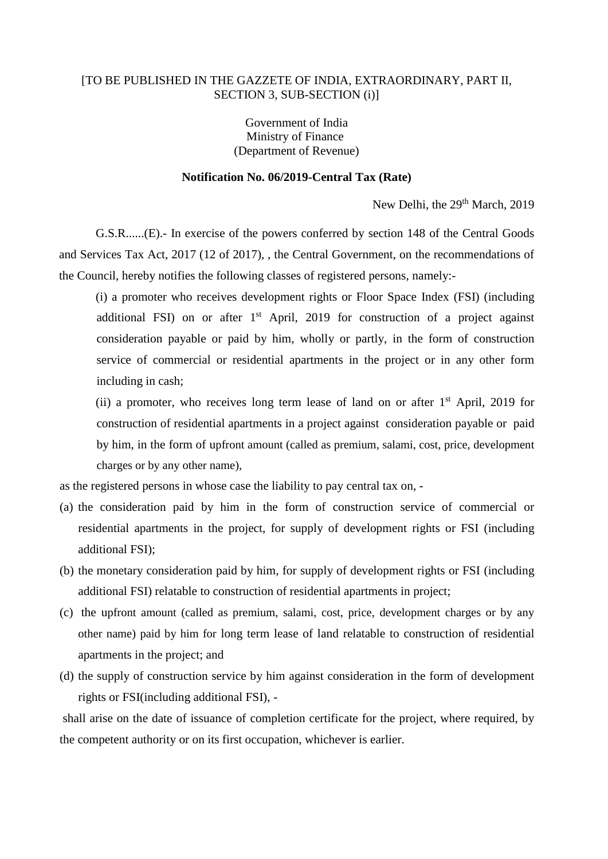## [TO BE PUBLISHED IN THE GAZZETE OF INDIA, EXTRAORDINARY, PART II, SECTION 3, SUB-SECTION (i)]

Government of India Ministry of Finance (Department of Revenue)

## **Notification No. 06/2019-Central Tax (Rate)**

New Delhi, the 29<sup>th</sup> March, 2019

G.S.R......(E).- In exercise of the powers conferred by section 148 of the Central Goods and Services Tax Act, 2017 (12 of 2017), , the Central Government, on the recommendations of the Council, hereby notifies the following classes of registered persons, namely:-

(i) a promoter who receives development rights or Floor Space Index (FSI) (including additional FSI) on or after 1<sup>st</sup> April, 2019 for construction of a project against consideration payable or paid by him, wholly or partly, in the form of construction service of commercial or residential apartments in the project or in any other form including in cash;

(ii) a promoter, who receives long term lease of land on or after  $1<sup>st</sup>$  April, 2019 for construction of residential apartments in a project against consideration payable or paid by him, in the form of upfront amount (called as premium, salami, cost, price, development charges or by any other name),

as the registered persons in whose case the liability to pay central tax on, -

- (a) the consideration paid by him in the form of construction service of commercial or residential apartments in the project, for supply of development rights or FSI (including additional FSI);
- (b) the monetary consideration paid by him, for supply of development rights or FSI (including additional FSI) relatable to construction of residential apartments in project;
- (c) the upfront amount (called as premium, salami, cost, price, development charges or by any other name) paid by him for long term lease of land relatable to construction of residential apartments in the project; and
- (d) the supply of construction service by him against consideration in the form of development rights or FSI(including additional FSI), -

shall arise on the date of issuance of completion certificate for the project, where required, by the competent authority or on its first occupation, whichever is earlier.